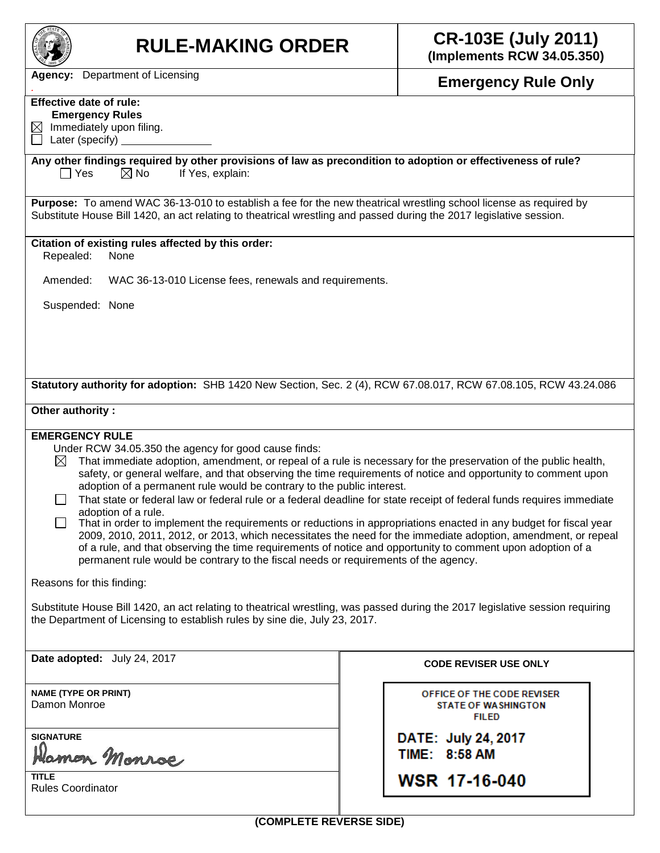

# **RULE-MAKING ORDER CR-103E (July 2011)**

**(Implements RCW 34.05.350)**

*.* **Emergency Rule Only**

**Agency:** Department of Licensing

## **Effective date of rule:**

 **Emergency Rules**

 $\boxtimes$  Immediately upon filing.  $\Box$  Later (specify)

#### **Any other findings required by other provisions of law as precondition to adoption or effectiveness of rule?**  $\Box$  Yes  $\Box$  No If Yes, explain:

**Purpose:** To amend WAC 36-13-010 to establish a fee for the new theatrical wrestling school license as required by Substitute House Bill 1420, an act relating to theatrical wrestling and passed during the 2017 legislative session.

#### **Citation of existing rules affected by this order:**

Repealed: None

Amended: WAC 36-13-010 License fees, renewals and requirements.

Suspended: None

**Statutory authority for adoption:** SHB 1420 New Section, Sec. 2 (4), RCW 67.08.017, RCW 67.08.105, RCW 43.24.086

### **Other authority :**

#### **EMERGENCY RULE**

Under RCW 34.05.350 the agency for good cause finds:

 $\boxtimes$  That immediate adoption, amendment, or repeal of a rule is necessary for the preservation of the public health, safety, or general welfare, and that observing the time requirements of notice and opportunity to comment upon adoption of a permanent rule would be contrary to the public interest.

 $\Box$  That state or federal law or federal rule or a federal deadline for state receipt of federal funds requires immediate adoption of a rule.

 $\Box$  That in order to implement the requirements or reductions in appropriations enacted in any budget for fiscal year 2009, 2010, 2011, 2012, or 2013, which necessitates the need for the immediate adoption, amendment, or repeal of a rule, and that observing the time requirements of notice and opportunity to comment upon adoption of a permanent rule would be contrary to the fiscal needs or requirements of the agency.

Reasons for this finding:

Substitute House Bill 1420, an act relating to theatrical wrestling, was passed during the 2017 legislative session requiring the Department of Licensing to establish rules by sine die, July 23, 2017.

**Date adopted:** July 24, 2017 **CODE REVISER USE ONLY** 

**NAME (TYPE OR PRINT)** Damon Monroe

**SIGNATURE**

Hamon Monroe

**TITLE** Rules Coordinator

OFFICE OF THE CODE REVISER **STATE OF WASHINGTON FILED** 

DATE: July 24, 2017 TIME: 8:58 AM